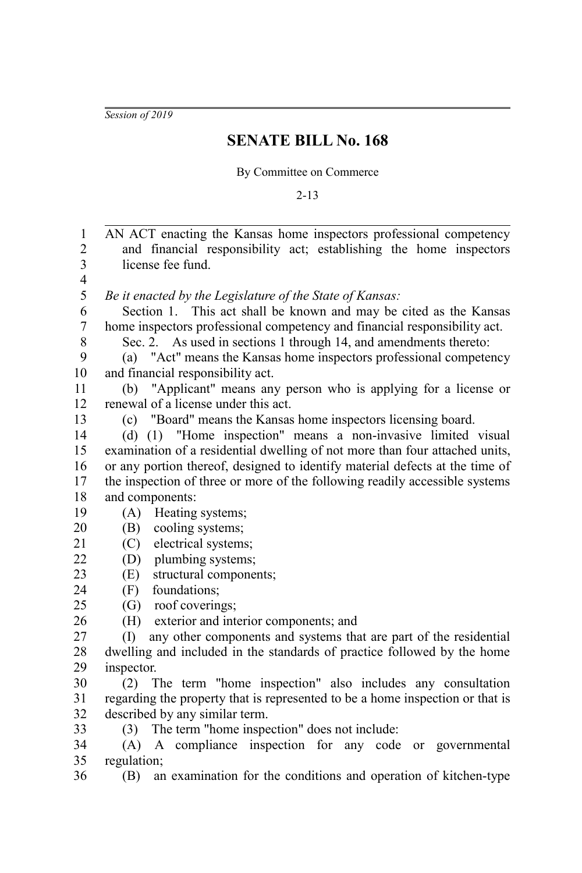*Session of 2019*

## **SENATE BILL No. 168**

By Committee on Commerce

2-13

AN ACT enacting the Kansas home inspectors professional competency and financial responsibility act; establishing the home inspectors license fee fund. *Be it enacted by the Legislature of the State of Kansas:* Section 1. This act shall be known and may be cited as the Kansas home inspectors professional competency and financial responsibility act. Sec. 2. As used in sections 1 through 14, and amendments thereto: (a) "Act" means the Kansas home inspectors professional competency and financial responsibility act. (b) "Applicant" means any person who is applying for a license or renewal of a license under this act. (c) "Board" means the Kansas home inspectors licensing board. (d) (1) "Home inspection" means a non-invasive limited visual examination of a residential dwelling of not more than four attached units, or any portion thereof, designed to identify material defects at the time of the inspection of three or more of the following readily accessible systems and components: (A) Heating systems; (B) cooling systems; (C) electrical systems; (D) plumbing systems; (E) structural components; (F) foundations; (G) roof coverings; (H) exterior and interior components; and (I) any other components and systems that are part of the residential dwelling and included in the standards of practice followed by the home inspector. (2) The term "home inspection" also includes any consultation regarding the property that is represented to be a home inspection or that is described by any similar term. (3) The term "home inspection" does not include: (A) A compliance inspection for any code or governmental regulation; (B) an examination for the conditions and operation of kitchen-type 1 2 3 4 5 6 7 8 9 10 11 12 13 14 15 16 17 18 19 20 21 22  $23$  $24$ 25 26 27 28  $29$ 30 31 32 33 34 35 36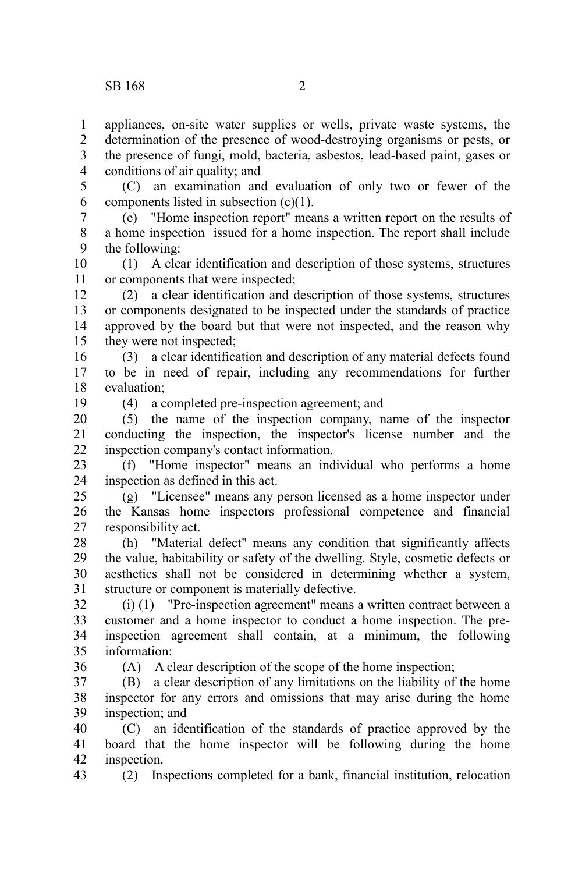appliances, on-site water supplies or wells, private waste systems, the determination of the presence of wood-destroying organisms or pests, or the presence of fungi, mold, bacteria, asbestos, lead-based paint, gases or conditions of air quality; and 1 2 3 4

(C) an examination and evaluation of only two or fewer of the components listed in subsection  $(c)(1)$ . 5 6

(e) "Home inspection report" means a written report on the results of a home inspection issued for a home inspection. The report shall include the following: 7 8 9

(1) A clear identification and description of those systems, structures or components that were inspected; 10 11

(2) a clear identification and description of those systems, structures or components designated to be inspected under the standards of practice approved by the board but that were not inspected, and the reason why they were not inspected; 12 13 14 15

(3) a clear identification and description of any material defects found to be in need of repair, including any recommendations for further evaluation; 16 17 18

19

(4) a completed pre-inspection agreement; and

(5) the name of the inspection company, name of the inspector conducting the inspection, the inspector's license number and the inspection company's contact information. 20 21 22

(f) "Home inspector" means an individual who performs a home inspection as defined in this act. 23 24

(g) "Licensee" means any person licensed as a home inspector under the Kansas home inspectors professional competence and financial responsibility act. 25 26 27

(h) "Material defect" means any condition that significantly affects the value, habitability or safety of the dwelling. Style, cosmetic defects or aesthetics shall not be considered in determining whether a system, structure or component is materially defective. 28 29 30 31

(i) (1) "Pre-inspection agreement" means a written contract between a customer and a home inspector to conduct a home inspection. The preinspection agreement shall contain, at a minimum, the following information: 32 33 34 35

36

43

(A) A clear description of the scope of the home inspection;

(B) a clear description of any limitations on the liability of the home inspector for any errors and omissions that may arise during the home inspection; and 37 38 39

(C) an identification of the standards of practice approved by the board that the home inspector will be following during the home inspection. 40 41 42

(2) Inspections completed for a bank, financial institution, relocation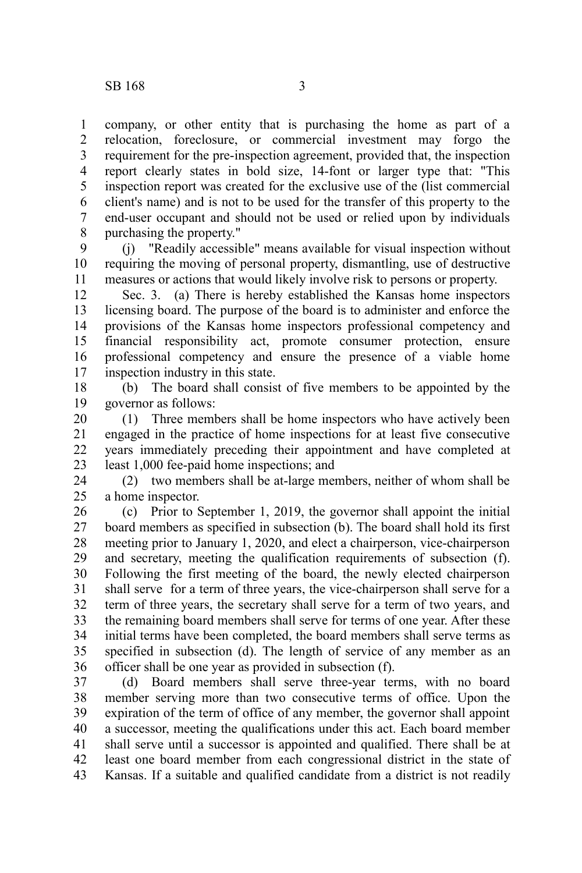company, or other entity that is purchasing the home as part of a relocation, foreclosure, or commercial investment may forgo the requirement for the pre-inspection agreement, provided that, the inspection report clearly states in bold size, 14-font or larger type that: "This inspection report was created for the exclusive use of the (list commercial client's name) and is not to be used for the transfer of this property to the end-user occupant and should not be used or relied upon by individuals purchasing the property." 1 2 3 4 5 6 7 8

(j) "Readily accessible" means available for visual inspection without requiring the moving of personal property, dismantling, use of destructive measures or actions that would likely involve risk to persons or property. 9 10 11

Sec. 3. (a) There is hereby established the Kansas home inspectors licensing board. The purpose of the board is to administer and enforce the provisions of the Kansas home inspectors professional competency and financial responsibility act, promote consumer protection, ensure professional competency and ensure the presence of a viable home inspection industry in this state. 12 13 14 15 16 17

(b) The board shall consist of five members to be appointed by the governor as follows: 18 19

(1) Three members shall be home inspectors who have actively been engaged in the practice of home inspections for at least five consecutive years immediately preceding their appointment and have completed at least 1,000 fee-paid home inspections; and 20 21 22 23

(2) two members shall be at-large members, neither of whom shall be a home inspector. 24 25

(c) Prior to September 1, 2019, the governor shall appoint the initial board members as specified in subsection (b). The board shall hold its first meeting prior to January 1, 2020, and elect a chairperson, vice-chairperson and secretary, meeting the qualification requirements of subsection (f). Following the first meeting of the board, the newly elected chairperson shall serve for a term of three years, the vice-chairperson shall serve for a term of three years, the secretary shall serve for a term of two years, and the remaining board members shall serve for terms of one year. After these initial terms have been completed, the board members shall serve terms as specified in subsection (d). The length of service of any member as an officer shall be one year as provided in subsection (f). 26 27 28 29 30 31 32 33 34 35 36

(d) Board members shall serve three-year terms, with no board member serving more than two consecutive terms of office. Upon the expiration of the term of office of any member, the governor shall appoint a successor, meeting the qualifications under this act. Each board member shall serve until a successor is appointed and qualified. There shall be at least one board member from each congressional district in the state of Kansas. If a suitable and qualified candidate from a district is not readily 37 38 39 40 41 42 43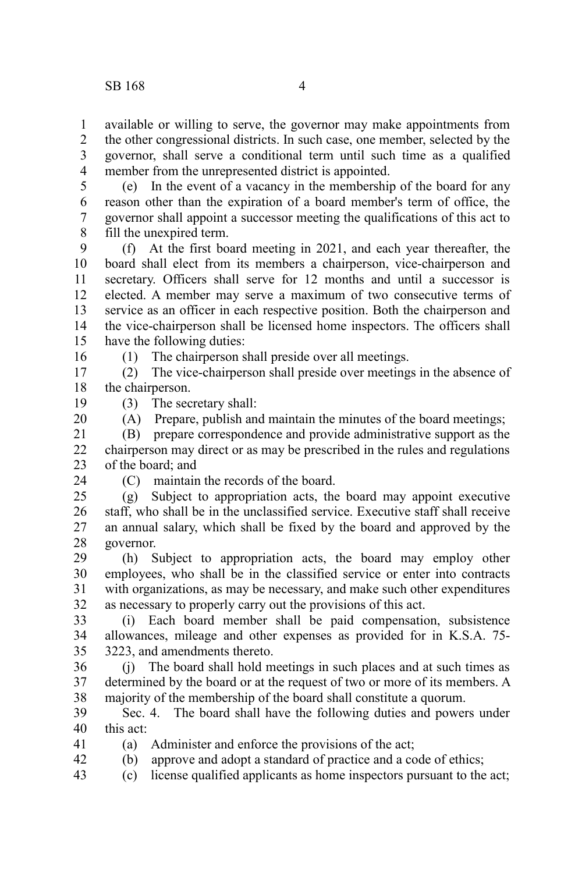available or willing to serve, the governor may make appointments from the other congressional districts. In such case, one member, selected by the governor, shall serve a conditional term until such time as a qualified member from the unrepresented district is appointed. 1 2 3 4

5

(e) In the event of a vacancy in the membership of the board for any reason other than the expiration of a board member's term of office, the governor shall appoint a successor meeting the qualifications of this act to fill the unexpired term. 6 7 8

(f) At the first board meeting in 2021, and each year thereafter, the board shall elect from its members a chairperson, vice-chairperson and secretary. Officers shall serve for 12 months and until a successor is elected. A member may serve a maximum of two consecutive terms of service as an officer in each respective position. Both the chairperson and the vice-chairperson shall be licensed home inspectors. The officers shall have the following duties: 9 10 11 12 13 14 15

(1) The chairperson shall preside over all meetings.

(2) The vice-chairperson shall preside over meetings in the absence of the chairperson. 17 18

(3) The secretary shall:

(A) Prepare, publish and maintain the minutes of the board meetings;

(B) prepare correspondence and provide administrative support as the chairperson may direct or as may be prescribed in the rules and regulations of the board; and 21 22 23

24

16

19 20

(C) maintain the records of the board.

(g) Subject to appropriation acts, the board may appoint executive staff, who shall be in the unclassified service. Executive staff shall receive an annual salary, which shall be fixed by the board and approved by the governor.  $25$ 26 27 28

(h) Subject to appropriation acts, the board may employ other employees, who shall be in the classified service or enter into contracts with organizations, as may be necessary, and make such other expenditures as necessary to properly carry out the provisions of this act. 29 30 31 32

(i) Each board member shall be paid compensation, subsistence allowances, mileage and other expenses as provided for in K.S.A. 75- 3223, and amendments thereto. 33 34 35

(j) The board shall hold meetings in such places and at such times as determined by the board or at the request of two or more of its members. A majority of the membership of the board shall constitute a quorum. 36 37 38

Sec. 4. The board shall have the following duties and powers under this act: 39 40

(a) Administer and enforce the provisions of the act; 41

(b) approve and adopt a standard of practice and a code of ethics; 42

(c) license qualified applicants as home inspectors pursuant to the act; 43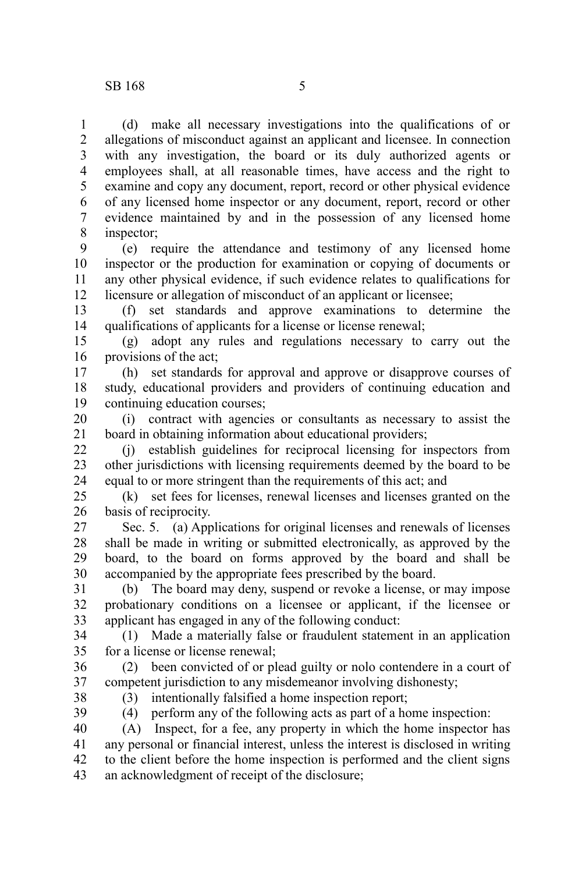(d) make all necessary investigations into the qualifications of or allegations of misconduct against an applicant and licensee. In connection with any investigation, the board or its duly authorized agents or employees shall, at all reasonable times, have access and the right to examine and copy any document, report, record or other physical evidence of any licensed home inspector or any document, report, record or other evidence maintained by and in the possession of any licensed home inspector; 1 2 3 4 5 6 7 8

(e) require the attendance and testimony of any licensed home inspector or the production for examination or copying of documents or any other physical evidence, if such evidence relates to qualifications for licensure or allegation of misconduct of an applicant or licensee; 9 10 11 12

(f) set standards and approve examinations to determine the qualifications of applicants for a license or license renewal; 13 14

(g) adopt any rules and regulations necessary to carry out the provisions of the act; 15 16

(h) set standards for approval and approve or disapprove courses of study, educational providers and providers of continuing education and continuing education courses; 17 18 19

(i) contract with agencies or consultants as necessary to assist the board in obtaining information about educational providers; 20 21

(j) establish guidelines for reciprocal licensing for inspectors from other jurisdictions with licensing requirements deemed by the board to be equal to or more stringent than the requirements of this act; and 22 23 24

(k) set fees for licenses, renewal licenses and licenses granted on the basis of reciprocity. 25 26

Sec. 5. (a) Applications for original licenses and renewals of licenses shall be made in writing or submitted electronically, as approved by the board, to the board on forms approved by the board and shall be accompanied by the appropriate fees prescribed by the board. 27 28 29 30

(b) The board may deny, suspend or revoke a license, or may impose probationary conditions on a licensee or applicant, if the licensee or applicant has engaged in any of the following conduct: 31 32 33

(1) Made a materially false or fraudulent statement in an application for a license or license renewal; 34 35

(2) been convicted of or plead guilty or nolo contendere in a court of competent jurisdiction to any misdemeanor involving dishonesty; 36 37

38

(3) intentionally falsified a home inspection report;

39 40

(4) perform any of the following acts as part of a home inspection:

(A) Inspect, for a fee, any property in which the home inspector has any personal or financial interest, unless the interest is disclosed in writing to the client before the home inspection is performed and the client signs an acknowledgment of receipt of the disclosure; 41 42 43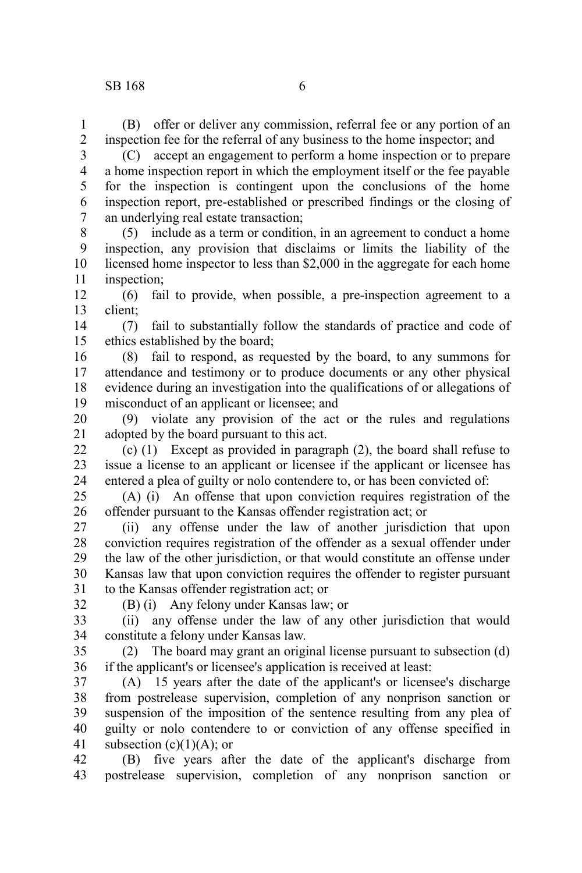(B) offer or deliver any commission, referral fee or any portion of an inspection fee for the referral of any business to the home inspector; and 1 2

3

(C) accept an engagement to perform a home inspection or to prepare a home inspection report in which the employment itself or the fee payable for the inspection is contingent upon the conclusions of the home inspection report, pre-established or prescribed findings or the closing of an underlying real estate transaction; 4 5 6 7

(5) include as a term or condition, in an agreement to conduct a home inspection, any provision that disclaims or limits the liability of the licensed home inspector to less than \$2,000 in the aggregate for each home inspection; 8 9 10 11

(6) fail to provide, when possible, a pre-inspection agreement to a client; 12 13

(7) fail to substantially follow the standards of practice and code of ethics established by the board; 14 15

(8) fail to respond, as requested by the board, to any summons for attendance and testimony or to produce documents or any other physical evidence during an investigation into the qualifications of or allegations of misconduct of an applicant or licensee; and 16 17 18 19

(9) violate any provision of the act or the rules and regulations adopted by the board pursuant to this act. 20 21

(c) (1) Except as provided in paragraph (2), the board shall refuse to issue a license to an applicant or licensee if the applicant or licensee has entered a plea of guilty or nolo contendere to, or has been convicted of: 22 23 24

(A) (i) An offense that upon conviction requires registration of the offender pursuant to the Kansas offender registration act; or 25 26

(ii) any offense under the law of another jurisdiction that upon conviction requires registration of the offender as a sexual offender under the law of the other jurisdiction, or that would constitute an offense under Kansas law that upon conviction requires the offender to register pursuant to the Kansas offender registration act; or 27 28 29 30 31

32

(B) (i) Any felony under Kansas law; or

(ii) any offense under the law of any other jurisdiction that would constitute a felony under Kansas law. 33 34

(2) The board may grant an original license pursuant to subsection (d) if the applicant's or licensee's application is received at least: 35 36

(A) 15 years after the date of the applicant's or licensee's discharge from postrelease supervision, completion of any nonprison sanction or suspension of the imposition of the sentence resulting from any plea of guilty or nolo contendere to or conviction of any offense specified in subsection  $(c)(1)(A)$ ; or 37 38 39 40 41

(B) five years after the date of the applicant's discharge from postrelease supervision, completion of any nonprison sanction or 42 43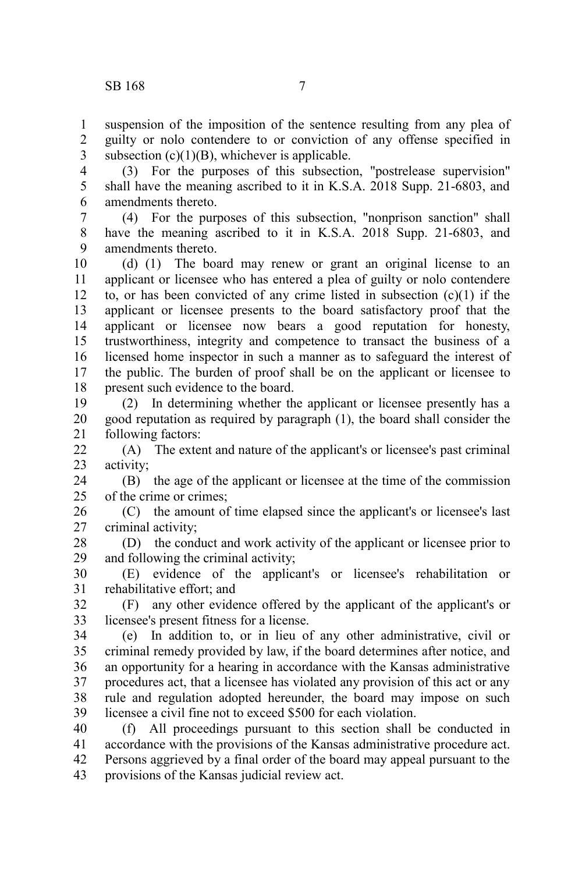suspension of the imposition of the sentence resulting from any plea of guilty or nolo contendere to or conviction of any offense specified in subsection  $(c)(1)(B)$ , whichever is applicable. 1 2 3

(3) For the purposes of this subsection, "postrelease supervision" shall have the meaning ascribed to it in K.S.A. 2018 Supp. 21-6803, and amendments thereto. 4 5 6

(4) For the purposes of this subsection, "nonprison sanction" shall have the meaning ascribed to it in K.S.A. 2018 Supp. 21-6803, and amendments thereto. 7 8 9

(d) (1) The board may renew or grant an original license to an applicant or licensee who has entered a plea of guilty or nolo contendere to, or has been convicted of any crime listed in subsection  $(c)(1)$  if the applicant or licensee presents to the board satisfactory proof that the applicant or licensee now bears a good reputation for honesty, trustworthiness, integrity and competence to transact the business of a licensed home inspector in such a manner as to safeguard the interest of the public. The burden of proof shall be on the applicant or licensee to present such evidence to the board. 10 11 12 13 14 15 16 17 18

(2) In determining whether the applicant or licensee presently has a good reputation as required by paragraph (1), the board shall consider the following factors: 19 20 21

(A) The extent and nature of the applicant's or licensee's past criminal activity; 22 23

(B) the age of the applicant or licensee at the time of the commission of the crime or crimes; 24 25

(C) the amount of time elapsed since the applicant's or licensee's last criminal activity; 26 27

(D) the conduct and work activity of the applicant or licensee prior to and following the criminal activity; 28 29

(E) evidence of the applicant's or licensee's rehabilitation or rehabilitative effort; and 30 31

(F) any other evidence offered by the applicant of the applicant's or licensee's present fitness for a license. 32 33

(e) In addition to, or in lieu of any other administrative, civil or criminal remedy provided by law, if the board determines after notice, and an opportunity for a hearing in accordance with the Kansas administrative procedures act, that a licensee has violated any provision of this act or any rule and regulation adopted hereunder, the board may impose on such licensee a civil fine not to exceed \$500 for each violation. 34 35 36 37 38 39

(f) All proceedings pursuant to this section shall be conducted in accordance with the provisions of the Kansas administrative procedure act. Persons aggrieved by a final order of the board may appeal pursuant to the provisions of the Kansas judicial review act. 40 41 42 43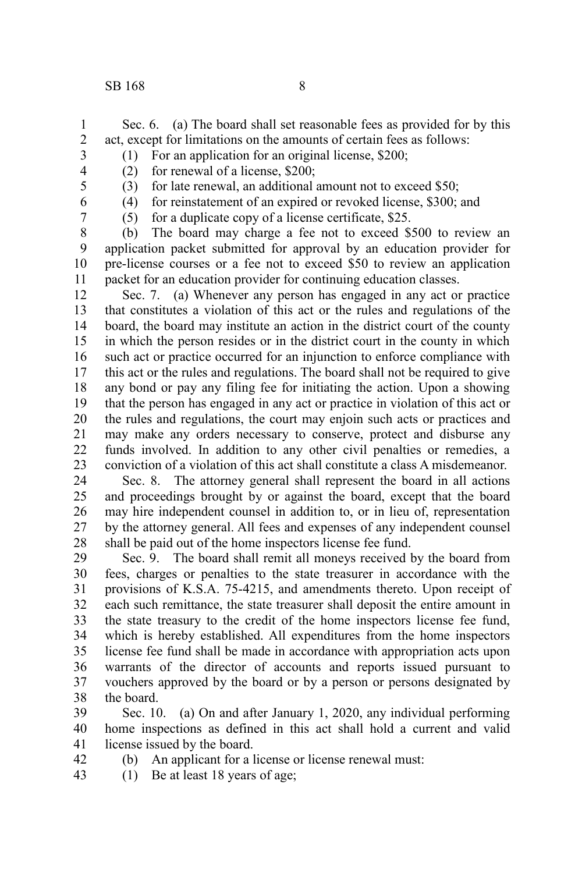- Sec. 6. (a) The board shall set reasonable fees as provided for by this act, except for limitations on the amounts of certain fees as follows: 1 2
- (1) For an application for an original license, \$200; (2) for renewal of a license, \$200; 3
- 4 5
- (3) for late renewal, an additional amount not to exceed \$50; (4) for reinstatement of an expired or revoked license, \$300; and
- 6 7
- (5) for a duplicate copy of a license certificate, \$25.

(b) The board may charge a fee not to exceed \$500 to review an application packet submitted for approval by an education provider for pre-license courses or a fee not to exceed \$50 to review an application packet for an education provider for continuing education classes. 8 9 10 11

Sec. 7. (a) Whenever any person has engaged in any act or practice that constitutes a violation of this act or the rules and regulations of the board, the board may institute an action in the district court of the county in which the person resides or in the district court in the county in which such act or practice occurred for an injunction to enforce compliance with this act or the rules and regulations. The board shall not be required to give any bond or pay any filing fee for initiating the action. Upon a showing that the person has engaged in any act or practice in violation of this act or the rules and regulations, the court may enjoin such acts or practices and may make any orders necessary to conserve, protect and disburse any funds involved. In addition to any other civil penalties or remedies, a conviction of a violation of this act shall constitute a class A misdemeanor. 12 13 14 15 16 17 18 19 20 21 22 23

Sec. 8. The attorney general shall represent the board in all actions and proceedings brought by or against the board, except that the board may hire independent counsel in addition to, or in lieu of, representation by the attorney general. All fees and expenses of any independent counsel shall be paid out of the home inspectors license fee fund. 24 25 26 27 28

Sec. 9. The board shall remit all moneys received by the board from fees, charges or penalties to the state treasurer in accordance with the provisions of K.S.A. 75-4215, and amendments thereto. Upon receipt of each such remittance, the state treasurer shall deposit the entire amount in the state treasury to the credit of the home inspectors license fee fund, which is hereby established. All expenditures from the home inspectors license fee fund shall be made in accordance with appropriation acts upon warrants of the director of accounts and reports issued pursuant to vouchers approved by the board or by a person or persons designated by the board. 29 30 31 32 33 34 35 36 37 38

Sec. 10. (a) On and after January 1, 2020, any individual performing home inspections as defined in this act shall hold a current and valid license issued by the board. 39 40 41

- (b) An applicant for a license or license renewal must: 42
- (1) Be at least 18 years of age; 43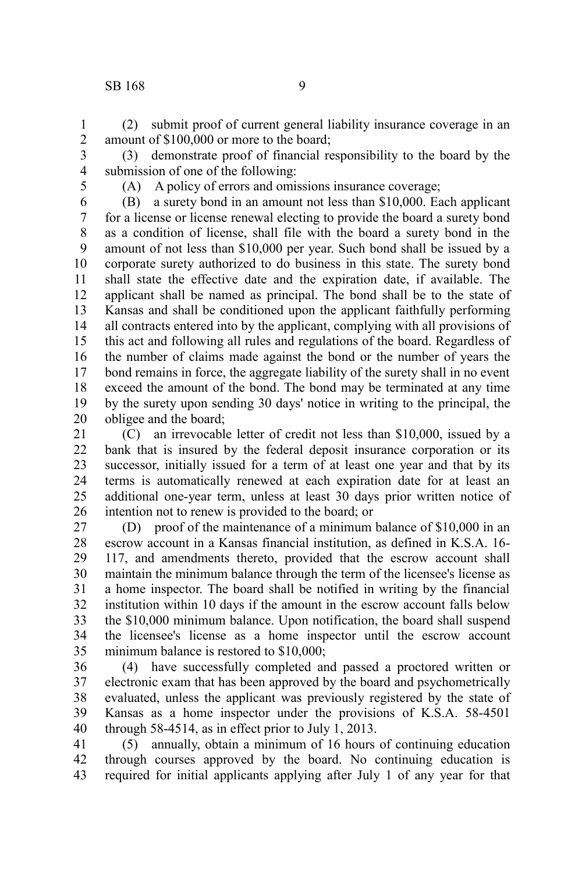## SB 168 9

(2) submit proof of current general liability insurance coverage in an amount of \$100,000 or more to the board; 1 2

(3) demonstrate proof of financial responsibility to the board by the submission of one of the following: 3 4

5

(A) A policy of errors and omissions insurance coverage;

(B) a surety bond in an amount not less than \$10,000. Each applicant for a license or license renewal electing to provide the board a surety bond as a condition of license, shall file with the board a surety bond in the amount of not less than \$10,000 per year. Such bond shall be issued by a corporate surety authorized to do business in this state. The surety bond shall state the effective date and the expiration date, if available. The applicant shall be named as principal. The bond shall be to the state of Kansas and shall be conditioned upon the applicant faithfully performing all contracts entered into by the applicant, complying with all provisions of this act and following all rules and regulations of the board. Regardless of the number of claims made against the bond or the number of years the bond remains in force, the aggregate liability of the surety shall in no event exceed the amount of the bond. The bond may be terminated at any time by the surety upon sending 30 days' notice in writing to the principal, the obligee and the board; 6 7 8 9 10 11 12 13 14 15 16 17 18 19 20

(C) an irrevocable letter of credit not less than \$10,000, issued by a bank that is insured by the federal deposit insurance corporation or its successor, initially issued for a term of at least one year and that by its terms is automatically renewed at each expiration date for at least an additional one-year term, unless at least 30 days prior written notice of intention not to renew is provided to the board; or 21 22 23 24 25 26

(D) proof of the maintenance of a minimum balance of \$10,000 in an escrow account in a Kansas financial institution, as defined in K.S.A. 16- 117, and amendments thereto, provided that the escrow account shall maintain the minimum balance through the term of the licensee's license as a home inspector. The board shall be notified in writing by the financial institution within 10 days if the amount in the escrow account falls below the \$10,000 minimum balance. Upon notification, the board shall suspend the licensee's license as a home inspector until the escrow account minimum balance is restored to \$10,000; 27 28 29 30 31 32 33 34 35

(4) have successfully completed and passed a proctored written or electronic exam that has been approved by the board and psychometrically evaluated, unless the applicant was previously registered by the state of Kansas as a home inspector under the provisions of K.S.A. 58-4501 through 58-4514, as in effect prior to July 1, 2013. 36 37 38 39 40

(5) annually, obtain a minimum of 16 hours of continuing education through courses approved by the board. No continuing education is required for initial applicants applying after July 1 of any year for that 41 42 43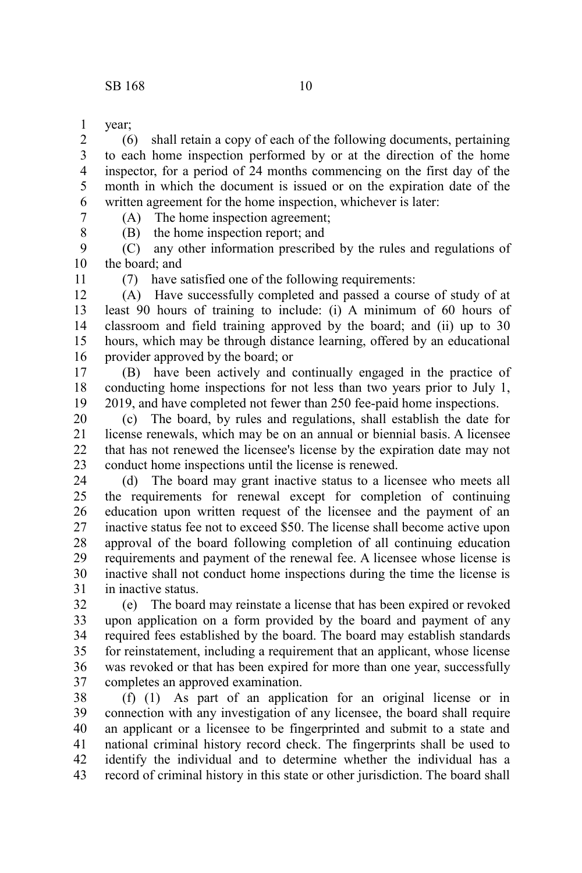year; 1

(6) shall retain a copy of each of the following documents, pertaining to each home inspection performed by or at the direction of the home inspector, for a period of 24 months commencing on the first day of the month in which the document is issued or on the expiration date of the written agreement for the home inspection, whichever is later: 2 3 4 5 6

7 8 (A) The home inspection agreement; (B) the home inspection report; and

(C) any other information prescribed by the rules and regulations of the board; and 9 10

11

(7) have satisfied one of the following requirements:

(A) Have successfully completed and passed a course of study of at least 90 hours of training to include: (i) A minimum of 60 hours of classroom and field training approved by the board; and (ii) up to 30 hours, which may be through distance learning, offered by an educational provider approved by the board; or 12 13 14 15 16

(B) have been actively and continually engaged in the practice of conducting home inspections for not less than two years prior to July 1, 2019, and have completed not fewer than 250 fee-paid home inspections. 17 18 19

(c) The board, by rules and regulations, shall establish the date for license renewals, which may be on an annual or biennial basis. A licensee that has not renewed the licensee's license by the expiration date may not conduct home inspections until the license is renewed. 20 21 22 23

(d) The board may grant inactive status to a licensee who meets all the requirements for renewal except for completion of continuing education upon written request of the licensee and the payment of an inactive status fee not to exceed \$50. The license shall become active upon approval of the board following completion of all continuing education requirements and payment of the renewal fee. A licensee whose license is inactive shall not conduct home inspections during the time the license is in inactive status. 24 25 26 27 28 29 30 31

(e) The board may reinstate a license that has been expired or revoked upon application on a form provided by the board and payment of any required fees established by the board. The board may establish standards for reinstatement, including a requirement that an applicant, whose license was revoked or that has been expired for more than one year, successfully completes an approved examination. 32 33 34 35 36 37

(f) (1) As part of an application for an original license or in connection with any investigation of any licensee, the board shall require an applicant or a licensee to be fingerprinted and submit to a state and national criminal history record check. The fingerprints shall be used to identify the individual and to determine whether the individual has a record of criminal history in this state or other jurisdiction. The board shall 38 39 40 41 42 43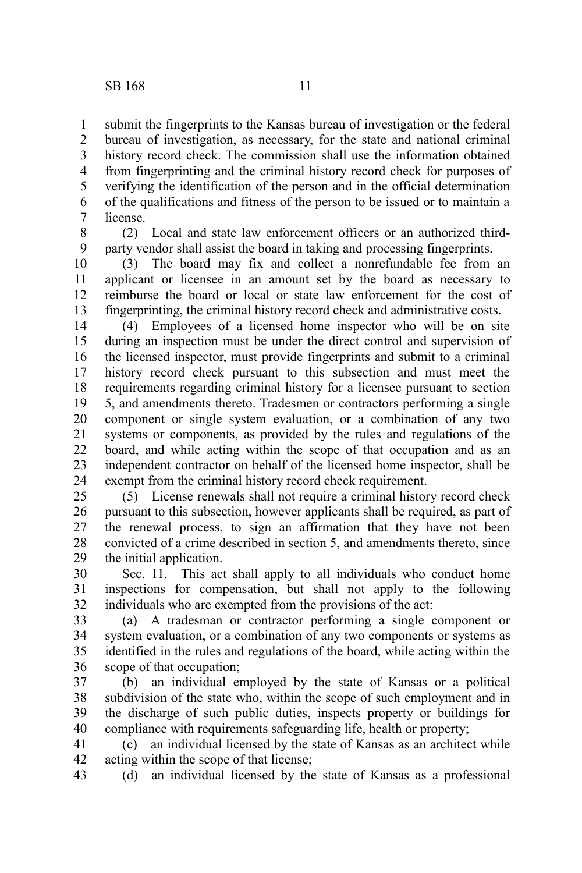submit the fingerprints to the Kansas bureau of investigation or the federal bureau of investigation, as necessary, for the state and national criminal history record check. The commission shall use the information obtained from fingerprinting and the criminal history record check for purposes of verifying the identification of the person and in the official determination of the qualifications and fitness of the person to be issued or to maintain a license. 1 2 3 4 5 6 7

(2) Local and state law enforcement officers or an authorized thirdparty vendor shall assist the board in taking and processing fingerprints. 8 9

(3) The board may fix and collect a nonrefundable fee from an applicant or licensee in an amount set by the board as necessary to reimburse the board or local or state law enforcement for the cost of fingerprinting, the criminal history record check and administrative costs. 10 11 12 13

(4) Employees of a licensed home inspector who will be on site during an inspection must be under the direct control and supervision of the licensed inspector, must provide fingerprints and submit to a criminal history record check pursuant to this subsection and must meet the requirements regarding criminal history for a licensee pursuant to section 5, and amendments thereto. Tradesmen or contractors performing a single component or single system evaluation, or a combination of any two systems or components, as provided by the rules and regulations of the board, and while acting within the scope of that occupation and as an independent contractor on behalf of the licensed home inspector, shall be exempt from the criminal history record check requirement. 14 15 16 17 18 19 20 21 22 23 24

(5) License renewals shall not require a criminal history record check pursuant to this subsection, however applicants shall be required, as part of the renewal process, to sign an affirmation that they have not been convicted of a crime described in section 5, and amendments thereto, since the initial application. 25 26 27 28 29

Sec. 11. This act shall apply to all individuals who conduct home inspections for compensation, but shall not apply to the following individuals who are exempted from the provisions of the act: 30 31 32

(a) A tradesman or contractor performing a single component or system evaluation, or a combination of any two components or systems as identified in the rules and regulations of the board, while acting within the scope of that occupation; 33 34 35 36

(b) an individual employed by the state of Kansas or a political subdivision of the state who, within the scope of such employment and in the discharge of such public duties, inspects property or buildings for compliance with requirements safeguarding life, health or property; 37 38 39 40

(c) an individual licensed by the state of Kansas as an architect while acting within the scope of that license; 41 42

(d) an individual licensed by the state of Kansas as a professional 43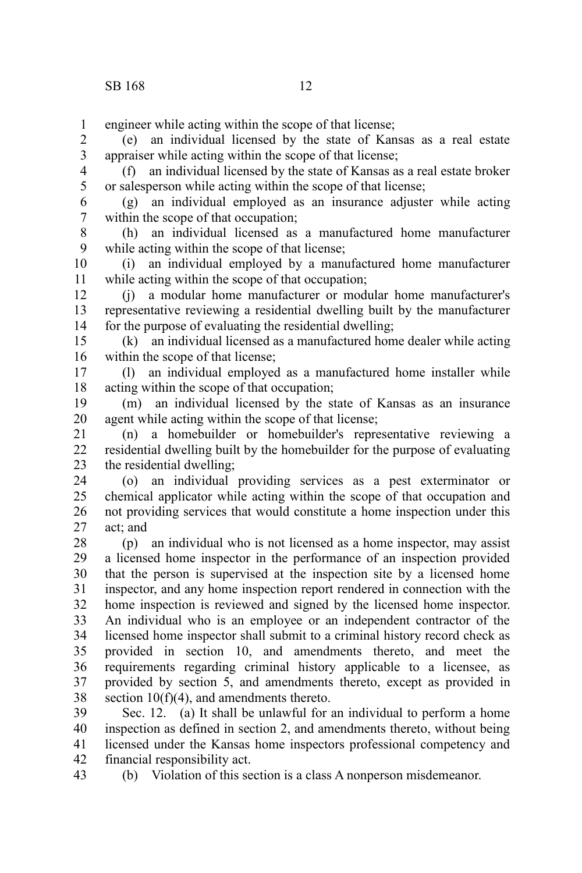engineer while acting within the scope of that license; 1

(e) an individual licensed by the state of Kansas as a real estate appraiser while acting within the scope of that license; 2 3

(f) an individual licensed by the state of Kansas as a real estate broker or salesperson while acting within the scope of that license; 4 5

(g) an individual employed as an insurance adjuster while acting within the scope of that occupation; 6 7

(h) an individual licensed as a manufactured home manufacturer while acting within the scope of that license; 8 9

(i) an individual employed by a manufactured home manufacturer while acting within the scope of that occupation; 10 11

(j) a modular home manufacturer or modular home manufacturer's representative reviewing a residential dwelling built by the manufacturer for the purpose of evaluating the residential dwelling; 12 13 14

(k) an individual licensed as a manufactured home dealer while acting within the scope of that license: 15 16

(l) an individual employed as a manufactured home installer while acting within the scope of that occupation; 17 18

(m) an individual licensed by the state of Kansas as an insurance agent while acting within the scope of that license; 19 20

(n) a homebuilder or homebuilder's representative reviewing a residential dwelling built by the homebuilder for the purpose of evaluating the residential dwelling; 21 22 23

(o) an individual providing services as a pest exterminator or chemical applicator while acting within the scope of that occupation and not providing services that would constitute a home inspection under this act; and 24 25 26 27

(p) an individual who is not licensed as a home inspector, may assist a licensed home inspector in the performance of an inspection provided that the person is supervised at the inspection site by a licensed home inspector, and any home inspection report rendered in connection with the home inspection is reviewed and signed by the licensed home inspector. An individual who is an employee or an independent contractor of the licensed home inspector shall submit to a criminal history record check as provided in section 10, and amendments thereto, and meet the requirements regarding criminal history applicable to a licensee, as provided by section 5, and amendments thereto, except as provided in section  $10(f)(4)$ , and amendments thereto. 28 29 30 31 32 33 34 35 36 37 38

Sec. 12. (a) It shall be unlawful for an individual to perform a home inspection as defined in section 2, and amendments thereto, without being licensed under the Kansas home inspectors professional competency and financial responsibility act. 39 40 41 42

(b) Violation of this section is a class A nonperson misdemeanor. 43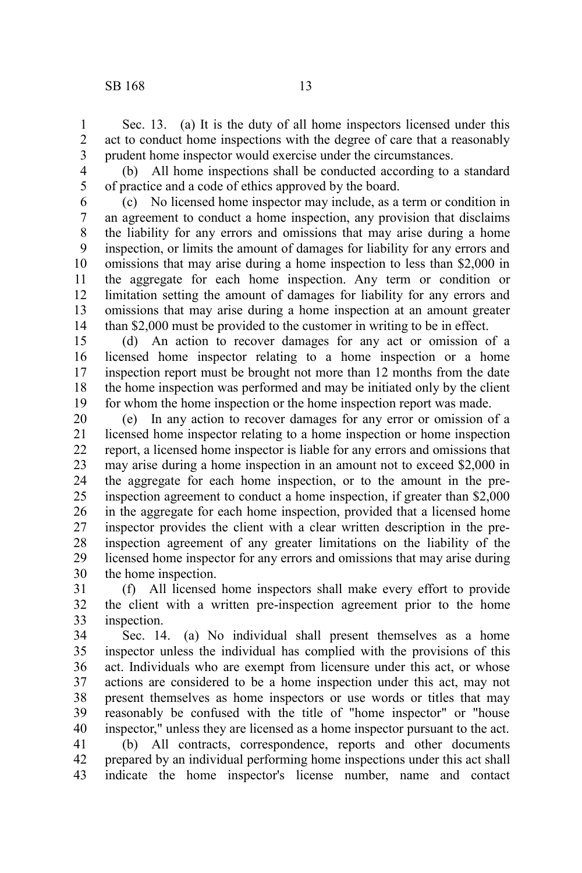Sec. 13. (a) It is the duty of all home inspectors licensed under this act to conduct home inspections with the degree of care that a reasonably prudent home inspector would exercise under the circumstances. 1 2 3

4 5

(b) All home inspections shall be conducted according to a standard of practice and a code of ethics approved by the board.

(c) No licensed home inspector may include, as a term or condition in an agreement to conduct a home inspection, any provision that disclaims the liability for any errors and omissions that may arise during a home inspection, or limits the amount of damages for liability for any errors and omissions that may arise during a home inspection to less than \$2,000 in the aggregate for each home inspection. Any term or condition or limitation setting the amount of damages for liability for any errors and omissions that may arise during a home inspection at an amount greater than \$2,000 must be provided to the customer in writing to be in effect. 6 7 8 9 10 11 12 13 14

(d) An action to recover damages for any act or omission of a licensed home inspector relating to a home inspection or a home inspection report must be brought not more than 12 months from the date the home inspection was performed and may be initiated only by the client for whom the home inspection or the home inspection report was made. 15 16 17 18 19

(e) In any action to recover damages for any error or omission of a licensed home inspector relating to a home inspection or home inspection report, a licensed home inspector is liable for any errors and omissions that may arise during a home inspection in an amount not to exceed \$2,000 in the aggregate for each home inspection, or to the amount in the preinspection agreement to conduct a home inspection, if greater than \$2,000 in the aggregate for each home inspection, provided that a licensed home inspector provides the client with a clear written description in the preinspection agreement of any greater limitations on the liability of the licensed home inspector for any errors and omissions that may arise during the home inspection. 20 21 22 23 24 25 26 27 28 29 30

(f) All licensed home inspectors shall make every effort to provide the client with a written pre-inspection agreement prior to the home inspection. 31 32 33

Sec. 14. (a) No individual shall present themselves as a home inspector unless the individual has complied with the provisions of this act. Individuals who are exempt from licensure under this act, or whose actions are considered to be a home inspection under this act, may not present themselves as home inspectors or use words or titles that may reasonably be confused with the title of "home inspector" or "house inspector," unless they are licensed as a home inspector pursuant to the act. 34 35 36 37 38 39 40

(b) All contracts, correspondence, reports and other documents prepared by an individual performing home inspections under this act shall indicate the home inspector's license number, name and contact 41 42 43